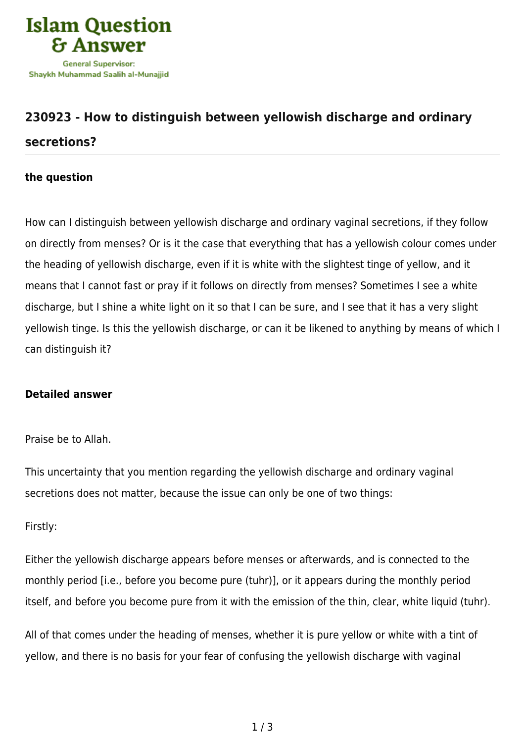

# **[230923 - How to distinguish between yellowish discharge and ordinary](https://islamqa.com/en/answers/230923/how-to-distinguish-between-yellowish-discharge-and-ordinary-secretions) [secretions?](https://islamqa.com/en/answers/230923/how-to-distinguish-between-yellowish-discharge-and-ordinary-secretions)**

## **the question**

How can I distinguish between yellowish discharge and ordinary vaginal secretions, if they follow on directly from menses? Or is it the case that everything that has a yellowish colour comes under the heading of yellowish discharge, even if it is white with the slightest tinge of yellow, and it means that I cannot fast or pray if it follows on directly from menses? Sometimes I see a white discharge, but I shine a white light on it so that I can be sure, and I see that it has a very slight yellowish tinge. Is this the yellowish discharge, or can it be likened to anything by means of which I can distinguish it?

### **Detailed answer**

### Praise be to Allah.

This uncertainty that you mention regarding the yellowish discharge and ordinary vaginal secretions does not matter, because the issue can only be one of two things:

### Firstly:

Either the yellowish discharge appears before menses or afterwards, and is connected to the monthly period [i.e., before you become pure (tuhr)], or it appears during the monthly period itself, and before you become pure from it with the emission of the thin, clear, white liquid (tuhr).

All of that comes under the heading of menses, whether it is pure yellow or white with a tint of yellow, and there is no basis for your fear of confusing the yellowish discharge with vaginal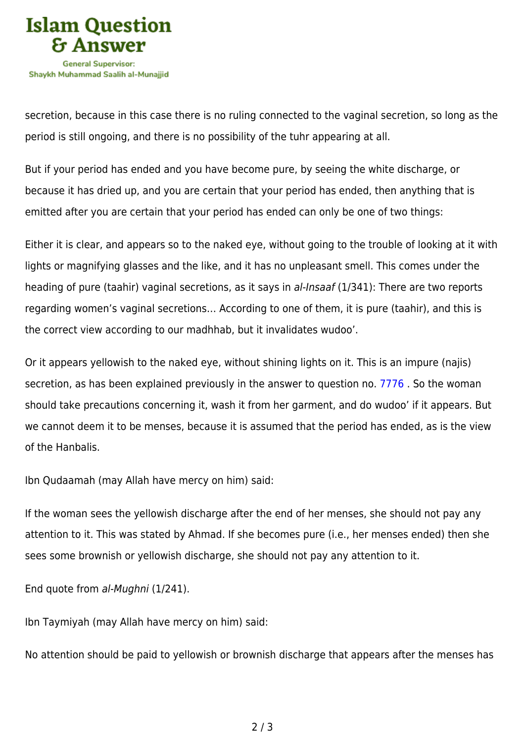

secretion, because in this case there is no ruling connected to the vaginal secretion, so long as the period is still ongoing, and there is no possibility of the tuhr appearing at all.

But if your period has ended and you have become pure, by seeing the white discharge, or because it has dried up, and you are certain that your period has ended, then anything that is emitted after you are certain that your period has ended can only be one of two things:

Either it is clear, and appears so to the naked eye, without going to the trouble of looking at it with lights or magnifying glasses and the like, and it has no unpleasant smell. This comes under the heading of pure (taahir) vaginal secretions, as it says in al-Insaaf (1/341): There are two reports regarding women's vaginal secretions… According to one of them, it is pure (taahir), and this is the correct view according to our madhhab, but it invalidates wudoo'.

Or it appears yellowish to the naked eye, without shining lights on it. This is an impure (najis) secretion, as has been explained previously in the answer to question no. [7776](https://islamqa.com/en/answers/7776) . So the woman should take precautions concerning it, wash it from her garment, and do wudoo' if it appears. But we cannot deem it to be menses, because it is assumed that the period has ended, as is the view of the Hanbalis.

Ibn Qudaamah (may Allah have mercy on him) said:

If the woman sees the yellowish discharge after the end of her menses, she should not pay any attention to it. This was stated by Ahmad. If she becomes pure (i.e., her menses ended) then she sees some brownish or yellowish discharge, she should not pay any attention to it.

End quote from al-Mughni (1/241).

Ibn Taymiyah (may Allah have mercy on him) said:

No attention should be paid to yellowish or brownish discharge that appears after the menses has